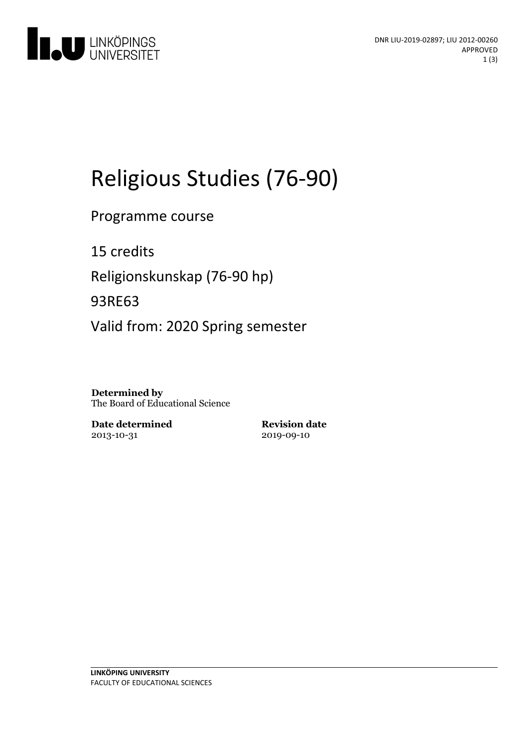

# Religious Studies (76-90)

Programme course

15 credits Religionskunskap (76-90 hp) 93RE63 Valid from: 2020 Spring semester

**Determined by** The Board of Educational Science

**Date determined** 2013-10-31

**Revision date** 2019-09-10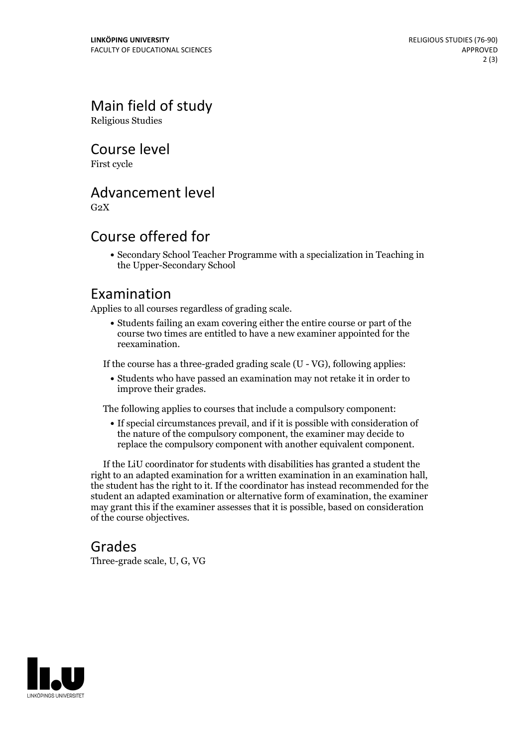# Main field of study

Religious Studies

Course level

First cycle

#### Advancement level

 $G<sub>2</sub>X$ 

### Course offered for

Secondary School Teacher Programme with a specialization in Teaching in the Upper-Secondary School

#### Examination

Applies to all courses regardless of grading scale.

Students failing an exam covering either the entire course or part of the course two times are entitled to have a new examiner appointed for the reexamination.

If the course has a three-graded grading scale (U - VG), following applies:

Students who have passed an examination may not retake it in order to improve their grades.

The following applies to courses that include a compulsory component:

If special circumstances prevail, and if it is possible with consideration of the nature of the compulsory component, the examiner may decide to replace the compulsory component with another equivalent component.

If the LiU coordinator for students with disabilities has granted a student the right to an adapted examination for <sup>a</sup> written examination in an examination hall, the student has the right to it. If the coordinator has instead recommended for the student an adapted examination or alternative form of examination, the examiner may grant this if the examiner assesses that it is possible, based on consideration of the course objectives.

#### Grades

Three-grade scale, U, G, VG